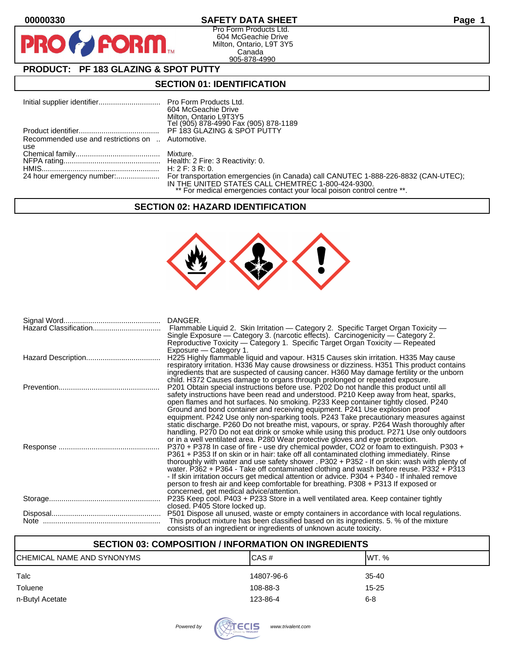$\bullet$ 

PF

## **00000330 SAFETY DATA SHEET Page 1**

Pro Form Products Ltd. 604 McGeachie Drive Milton, Ontario, L9T 3Y5 Canada 905-878-4990

# **PRODUCT: PF 183 GLAZING & SPOT PUTTY**

FORM.

#### **SECTION 01: IDENTIFICATION**

|                                                  | 604 McGeachie Drive                                                     |
|--------------------------------------------------|-------------------------------------------------------------------------|
|                                                  | Milton, Ontario L9T3Y5                                                  |
|                                                  | Tel (905) 878-4990 Fax (905) 878-1189                                   |
|                                                  | PF 183 GLAZING & SPOT PUTTY                                             |
| Recommended use and restrictions on  Automotive. |                                                                         |
| use                                              |                                                                         |
|                                                  |                                                                         |
|                                                  |                                                                         |
|                                                  |                                                                         |
|                                                  |                                                                         |
|                                                  | IN THE UNITED STATES CALL CHEMTREC 1-800-424-9300.                      |
|                                                  | ** For medical emergencies contact your local poison control centre **. |

#### **SECTION 02: HAZARD IDENTIFICATION**



| DANGER.                                                                                      |
|----------------------------------------------------------------------------------------------|
| Flammable Liquid 2. Skin Irritation — Category 2. Specific Target Organ Toxicity —           |
| Single Exposure — Category 3. (narcotic effects). Carcinogenicity — Category 2.              |
| Reproductive Toxicity — Category 1. Specific Target Organ Toxicity — Repeated                |
| Exposure - Category 1.                                                                       |
| H225 Highly flammable liquid and vapour. H315 Causes skin irritation. H335 May cause         |
|                                                                                              |
| respiratory irritation. H336 May cause drowsiness or dizziness. H351 This product contains   |
| ingredients that are suspected of causing cancer. H360 May damage fertility or the unborn    |
| child. H372 Causes damage to organs through prolonged or repeated exposure.                  |
| P201 Obtain special instructions before use. P202 Do not handle this product until all       |
| safety instructions have been read and understood. P210 Keep away from heat, sparks,         |
| open flames and hot surfaces. No smoking. P233 Keep container tightly closed. P240           |
| Ground and bond container and receiving equipment. P241 Use explosion proof                  |
| equipment. P242 Use only non-sparking tools. P243 Take precautionary measures against        |
| static discharge. P260 Do not breathe mist, vapours, or spray. P264 Wash thoroughly after    |
| handling. P270 Do not eat drink or smoke while using this product. P271 Use only outdoors    |
| or in a well ventilated area. P280 Wear protective gloves and eye protection.                |
| P370 + P378 In case of fire - use dry chemical powder, CO2 or foam to extinguish. P303 +     |
| P361 + P353 If on skin or in hair: take off all contaminated clothing immediately. Rinse     |
| thoroughly with water and use safety shower . P302 + P352 - If on skin: wash with plenty of  |
| water. P362 + P364 - Take off contaminated clothing and wash before reuse. P332 + P313       |
| - If skin irritation occurs get medical attention or advice. P304 + P340 - If inhaled remove |
| person to fresh air and keep comfortable for breathing. P308 + P313 If exposed or            |
| concerned, get medical advice/attention.                                                     |
| P235 Keep cool. P403 + P233 Store in a well ventilated area. Keep container tightly          |
| closed. P405 Store locked up.                                                                |
| P501 Dispose all unused, waste or empty containers in accordance with local regulations.     |
| This product mixture has been classified based on its ingredients. 5. % of the mixture       |
| consists of an ingredient or ingredients of unknown acute toxicity.                          |
|                                                                                              |

## **SECTION 03: COMPOSITION / INFORMATION ON INGREDIENTS**

| CHEMICAL NAME AND SYNONYMS | CAS#       | IWT. %    |
|----------------------------|------------|-----------|
| Talc                       | 14807-96-6 | $35 - 40$ |
| Toluene                    | 108-88-3   | $15 - 25$ |
| n-Butyl Acetate            | 123-86-4   | $6 - 8$   |

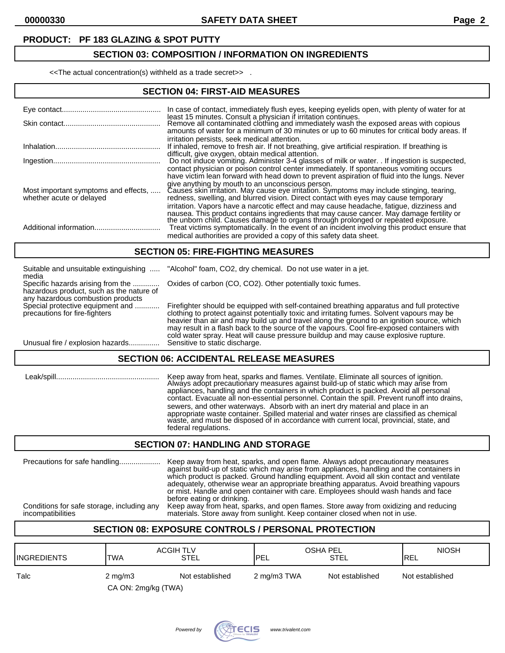#### **PRODUCT: PF 183 GLAZING & SPOT PUTTY**

## **SECTION 03: COMPOSITION / INFORMATION ON INGREDIENTS**

<<The actual concentration(s) withheld as a trade secret>> .

## **SECTION 04: FIRST-AID MEASURES**

|                                                                  | In case of contact, immediately flush eyes, keeping eyelids open, with plenty of water for at<br>least 15 minutes. Consult a physician if irritation continues.<br>Remove all contaminated clothing and immediately wash the exposed areas with copious<br>amounts of water for a minimum of 30 minutes or up to 60 minutes for critical body areas. If                                                                                          |
|------------------------------------------------------------------|--------------------------------------------------------------------------------------------------------------------------------------------------------------------------------------------------------------------------------------------------------------------------------------------------------------------------------------------------------------------------------------------------------------------------------------------------|
|                                                                  | irritation persists, seek medical attention.<br>If inhaled, remove to fresh air. If not breathing, give artificial respiration. If breathing is<br>difficult, give oxygen, obtain medical attention.<br>Do not induce vomiting. Administer 3-4 glasses of milk or water. . If ingestion is suspected,                                                                                                                                            |
|                                                                  | contact physician or poison control center immediately. If spontaneous vomiting occurs                                                                                                                                                                                                                                                                                                                                                           |
| Most important symptoms and effects,<br>whether acute or delayed | have victim lean forward with head down to prevent aspiration of fluid into the lungs. Never<br>give anything by mouth to an unconscious person.<br>Causes skin irritation. May cause eye irritation. Symptoms may include stinging, tearing,<br>redness, swelling, and blurred vision. Direct contact with eyes may cause temporary                                                                                                             |
|                                                                  | irritation. Vapors have a narcotic effect and may cause headache, fatique, dizziness and<br>nausea. This product contains ingredients that may cause cancer. May damage fertility or<br>the unborn child. Causes damage to organs through prolonged or repeated exposure.<br>Treat victims symptomatically. In the event of an incident involving this product ensure that<br>medical authorities are provided a copy of this safety data sheet. |

#### **SECTION 05: FIRE-FIGHTING MEASURES**

| Suitable and unsuitable extinguishing<br>media                                                                     | "Alcohol" foam, CO2, dry chemical. Do not use water in a jet.                                                                                                                                                                                                                                                                                                                                                                                                               |
|--------------------------------------------------------------------------------------------------------------------|-----------------------------------------------------------------------------------------------------------------------------------------------------------------------------------------------------------------------------------------------------------------------------------------------------------------------------------------------------------------------------------------------------------------------------------------------------------------------------|
| Specific hazards arising from the<br>hazardous product, such as the nature of<br>any hazardous combustion products | Oxides of carbon (CO, CO2). Other potentially toxic fumes.                                                                                                                                                                                                                                                                                                                                                                                                                  |
| Special protective equipment and<br>precautions for fire-fighters                                                  | Firefighter should be equipped with self-contained breathing apparatus and full protective<br>clothing to protect against potentially toxic and irritating fumes. Solvent vapours may be<br>heavier than air and may build up and travel along the ground to an ignition source, which<br>may result in a flash back to the source of the vapours. Cool fire-exposed containers with<br>cold water spray. Heat will cause pressure buildup and may cause explosive rupture. |
| Unusual fire / explosion hazards                                                                                   | Sensitive to static discharge.                                                                                                                                                                                                                                                                                                                                                                                                                                              |

## **SECTION 06: ACCIDENTAL RELEASE MEASURES**

| l eak/spill. | Keep away from heat, sparks and flames. Ventilate. Eliminate all sources of ignition.<br>Always adopt precautionary measures against build-up of static which may arise from<br>appliances, handling and the containers in which product is packed. Avoid all personal<br>contact. Evacuate all non-essential personnel. Contain the spill. Prevent runoff into drains,<br>sewers, and other waterways. Absorb with an inert dry material and place in an<br>appropriate waste container. Spilled material and water rinses are classified as chemical<br>waste, and must be disposed of in accordance with current local, provincial, state, and |
|--------------|---------------------------------------------------------------------------------------------------------------------------------------------------------------------------------------------------------------------------------------------------------------------------------------------------------------------------------------------------------------------------------------------------------------------------------------------------------------------------------------------------------------------------------------------------------------------------------------------------------------------------------------------------|
|              | federal regulations.                                                                                                                                                                                                                                                                                                                                                                                                                                                                                                                                                                                                                              |

#### **SECTION 07: HANDLING AND STORAGE**

| Precautions for safe handling              | Keep away from heat, sparks, and open flame. Always adopt precautionary measures<br>against build-up of static which may arise from appliances, handling and the containers in<br>which product is packed. Ground handling equipment. Avoid all skin contact and ventilate<br>adequately, otherwise wear an appropriate breathing apparatus. Avoid breathing vapours<br>or mist. Handle and open container with care. Employees should wash hands and face<br>before eating or drinking. |
|--------------------------------------------|------------------------------------------------------------------------------------------------------------------------------------------------------------------------------------------------------------------------------------------------------------------------------------------------------------------------------------------------------------------------------------------------------------------------------------------------------------------------------------------|
| Conditions for safe storage, including any | Keep away from heat, sparks, and open flames. Store away from oxidizing and reducing                                                                                                                                                                                                                                                                                                                                                                                                     |
| incompatibilities                          | materials. Store away from sunlight. Keep container closed when not in use.                                                                                                                                                                                                                                                                                                                                                                                                              |

## **SECTION 08: EXPOSURE CONTROLS / PERSONAL PROTECTION**

| <b>ACGIH TLV</b><br><b>STEL</b>     | OSHA PEL            |                            | <b>NIOSH</b><br><b>IREL</b> |
|-------------------------------------|---------------------|----------------------------|-----------------------------|
| Not established<br>$2 \text{ mg/m}$ |                     |                            | Not established             |
|                                     | CA ON: 2mg/kg (TWA) | <b>IPEL</b><br>2 mg/m3 TWA | STEL<br>Not established     |

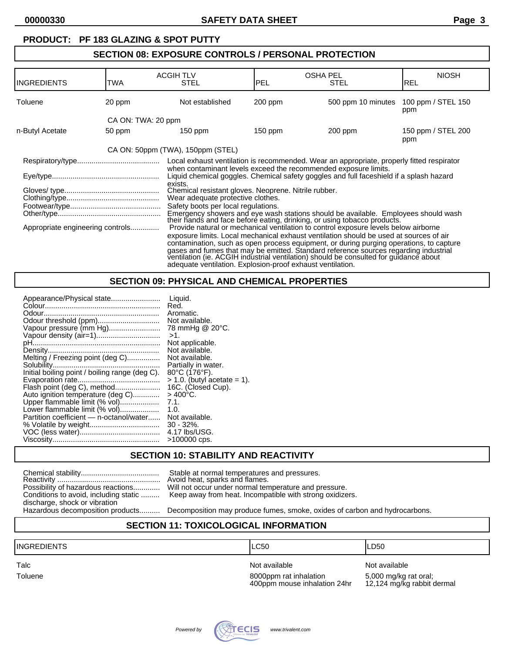#### **PRODUCT: PF 183 GLAZING & SPOT PUTTY SECTION 08: EXPOSURE CONTROLS / PERSONAL PROTECTION** ACGIH TLV OSHA PEL NIOSH INGREDIENTS TWA Toluene 20 ppm Not established 200 ppm 500 ppm 10 minutes 100 ppm / STEL 150 ppm CA ON: TWA: 20 ppm n-Butyl Acetate 50 ppm 150 ppm 150 ppm 150 ppm 200 ppm 150 ppm 150 ppm 150 ppm 150 ppm / STEL 200 ppm CA ON: 50ppm (TWA), 150ppm (STEL) Respiratory/type........................................ Local exhaust ventilation is recommended. Wear an appropriate, properly fitted respirator when contaminant levels exceed the recommended exposure limits. Eye/type.................................................... Liquid chemical goggles. Chemical safety goggles and full faceshield if a splash hazard exists. Gloves/ type.............................................. Chemical resistant gloves. Neoprene. Nitrile rubber. Clothing/type............................................. Wear adequate protective clothes. Footwear/type............................................ Safety boots per local regulations. Emergency showers and eye wash stations should be available. Employees should wash their hands and face before eating, drinking, or using tobacco products. Appropriate engineering controls.............. Provide natural or mechanical ventilation to control exposure levels below airborne exposure limits. Local mechanical exhaust ventilation should be used at sources of air contamination, such as open process equipment, or during purging operations, to capture

## **SECTION 09: PHYSICAL AND CHEMICAL PROPERTIES**

adequate ventilation. Explosion-proof exhaust ventilation.

| Not available.                 |
|--------------------------------|
| 78 mmHg @ 20°C.                |
|                                |
| Not applicable.                |
| Not available.                 |
| Not available.                 |
| Partially in water.            |
| 80°C (176°F).                  |
| $> 1.0$ . (butyl acetate = 1). |
| 16C. (Closed Cup).             |
|                                |
|                                |
| Not available.                 |
|                                |
| 4.17 lbs/USG.                  |
| $>100000$ cps.                 |
|                                |

### **SECTION 10: STABILITY AND REACTIVITY**

| Possibility of hazardous reactions    |  |
|---------------------------------------|--|
| Conditions to avoid, including static |  |
| discharge, shock or vibration         |  |
| Hazardous decomposition products      |  |

Stable at normal temperatures and pressures. Avoid heat, sparks and flames. Will not occur under normal temperature and pressure. Keep away from heat. Incompatible with strong oxidizers.

Decomposition may produce fumes, smoke, oxides of carbon and hydrocarbons.

gases and fumes that may be emitted. Standard reference sources regarding industrial ventilation (ie. ACGIH industrial ventilation) should be consulted for guidance about

### **SECTION 11: TOXICOLOGICAL INFORMATION**

INGREDIENTS LC50 LD50

Talc **Talc Not available** Not available Not available Not available Not available 400ppm mouse inhalation 24hr

Toluene 8000ppm rat inhalation 5,000 mg/kg rat oral;<br>400ppm mouse inhalation 24hr 12,124 mg/kg rabbit dermal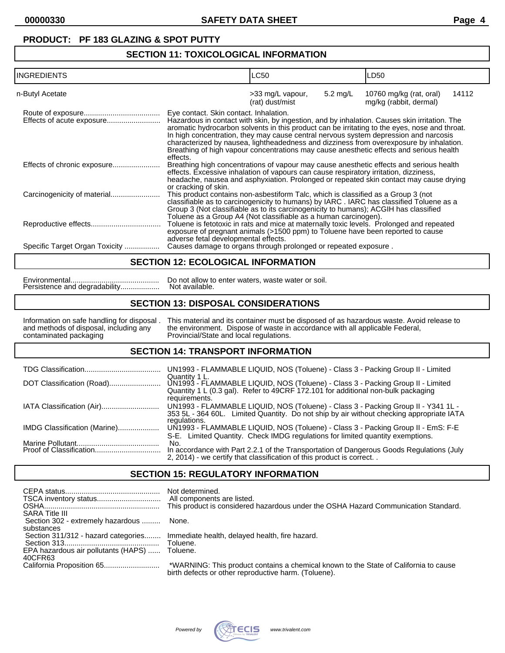## **PRODUCT: PF 183 GLAZING & SPOT PUTTY**

## **SECTION 11: TOXICOLOGICAL INFORMATION**

| <b>INGREDIENTS</b>             |                                                                                                                                                                                                                                              | LC50                                |          | LD50                                                                                                                                                                                                                                                                                                                                                                                                                                                                        |       |
|--------------------------------|----------------------------------------------------------------------------------------------------------------------------------------------------------------------------------------------------------------------------------------------|-------------------------------------|----------|-----------------------------------------------------------------------------------------------------------------------------------------------------------------------------------------------------------------------------------------------------------------------------------------------------------------------------------------------------------------------------------------------------------------------------------------------------------------------------|-------|
| n-Butyl Acetate                |                                                                                                                                                                                                                                              | >33 mg/L vapour,<br>(rat) dust/mist | 5.2 mg/L | 10760 mg/kg (rat, oral)<br>mg/kg (rabbit, dermal)                                                                                                                                                                                                                                                                                                                                                                                                                           | 14112 |
|                                | Eye contact. Skin contact. Inhalation.<br>effects.                                                                                                                                                                                           |                                     |          | Hazardous in contact with skin, by ingestion, and by inhalation. Causes skin irritation. The<br>aromatic hydrocarbon solvents in this product can be irritating to the eyes, nose and throat.<br>In high concentration, they may cause central nervous system depression and narcosis<br>characterized by nausea, lightheadedness and dizziness from overexposure by inhalation.<br>Breathing of high vapour concentrations may cause anesthetic effects and serious health |       |
| Effects of chronic exposure    | effects. Excessive inhalation of vapours can cause respiratory irritation, dizziness,<br>or cracking of skin.                                                                                                                                |                                     |          | Breathing high concentrations of vapour may cause anesthetic effects and serious health<br>headache, nausea and asphyxiation. Prolonged or repeated skin contact may cause drying                                                                                                                                                                                                                                                                                           |       |
|                                | This product contains non-asbestiform Talc, which is classified as a Group 3 (not<br>Group 3 (Not classifiable as to its carcinogenicity to humans); ACGIH has classified<br>Toluene as a Group A4 (Not classifiable as a human carcinogen). |                                     |          | classifiable as to carcinogenicity to humans) by IARC . IARC has classified Toluene as a                                                                                                                                                                                                                                                                                                                                                                                    |       |
|                                | exposure of pregnant animals (>1500 ppm) to Toluene have been reported to cause<br>adverse fetal developmental effects.                                                                                                                      |                                     |          | Toluene is fetotoxic in rats and mice at maternally toxic levels. Prolonged and repeated                                                                                                                                                                                                                                                                                                                                                                                    |       |
| Specific Target Organ Toxicity | Causes damage to organs through prolonged or repeated exposure.                                                                                                                                                                              |                                     |          |                                                                                                                                                                                                                                                                                                                                                                                                                                                                             |       |

#### **SECTION 12: ECOLOGICAL INFORMATION**

## **SECTION 13: DISPOSAL CONSIDERATIONS**

| Information on safe handling for disposal. | This material and its container must be disposed of as hazardous waste. Avoid release to |
|--------------------------------------------|------------------------------------------------------------------------------------------|
| and methods of disposal, including any     | the environment. Dispose of waste in accordance with all applicable Federal,             |
| contaminated packaging                     | Provincial/State and local regulations.                                                  |

### **SECTION 14: TRANSPORT INFORMATION**

|                              | UN1993 - FLAMMABLE LIQUID, NOS (Toluene) - Class 3 - Packing Group II - Limited                                                                                                                |
|------------------------------|------------------------------------------------------------------------------------------------------------------------------------------------------------------------------------------------|
| DOT Classification (Road)    | Quantity 1 L.<br>UN1993 - FLAMMABLE LIQUID, NOS (Toluene) - Class 3 - Packing Group II - Limited<br>Quantity 1 L (0.3 gal). Refer to 49CRF 172.101 for additional non-bulk packaging           |
|                              | requirements.<br>UN1993 - FLAMMABLE LIQUID, NOS (Toluene) - Class 3 - Packing Group II - Y341 1L -<br>353 5L - 364 60L. Limited Quantity. Do not ship by air without checking appropriate IATA |
| IMDG Classification (Marine) | regulations.<br>UN1993 - FLAMMABLE LIQUID, NOS (Toluene) - Class 3 - Packing Group II - EmS: F-E<br>S-E. Limited Quantity. Check IMDG regulations for limited quantity exemptions.             |
|                              | No.<br>In accordance with Part 2.2.1 of the Transportation of Dangerous Goods Regulations (July<br>2, 2014) - we certify that classification of this product is correct                        |

### **SECTION 15: REGULATORY INFORMATION**

| <b>SARA Title III</b>                             | Not determined.<br>This product is considered hazardous under the OSHA Hazard Communication Standard.                                        |
|---------------------------------------------------|----------------------------------------------------------------------------------------------------------------------------------------------|
| Section 302 - extremely hazardous  None.          |                                                                                                                                              |
| substances<br>Section 311/312 - hazard categories | Immediate health, delayed health, fire hazard.<br>Toluene.                                                                                   |
| EPA hazardous air pollutants (HAPS)<br>40CFR63    | Toluene.                                                                                                                                     |
|                                                   | *WARNING: This product contains a chemical known to the State of California to cause<br>birth defects or other reproductive harm. (Toluene). |